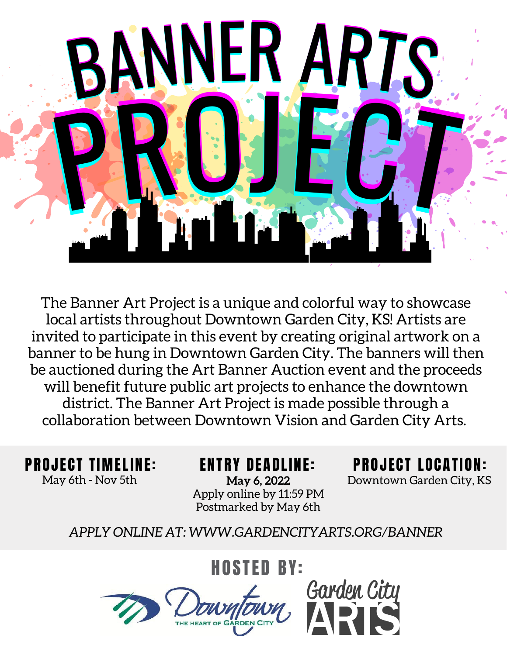

The Banner Art Project is a unique and colorful way to showcase local artists throughout Downtown Garden City, KS! Artists are invited to participate in this event by creating original artwork on a banner to be hung in Downtown Garden City. The banners will then be auctioned during the Art Banner Auction event and the proceeds will benefit future public art projects to enhance the downtown district. The Banner Art Project is made possible through a collaboration between Downtown Vision and Garden City Arts.

May 6th - Nov 5th **May 6, 2022** Downtown Garden City, KS **May 6, 2022** Apply online by 11:59 PM Postmarked by May 6th

PROJECT TIMELINE: ENTRY DEADLINE: PROJECT LOCATION:

*APPLY ONLINE AT: WWW.GARDENCITYARTS.ORG/BANNER*

HOSTED BY:<br>And Garden City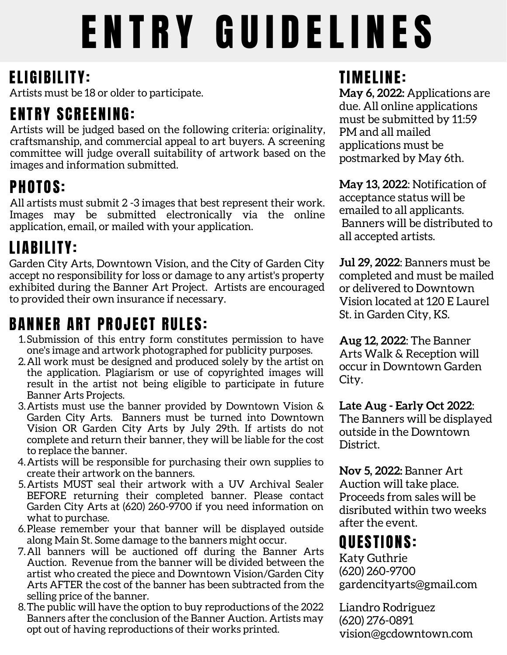# ENTRY GUIDELINES

#### ELIGIBILITY:

Artists must be 18 or older to participate.

#### **ENTRY SCREENING:**

Artists will be judged based on the following criteria: originality, craftsmanship, and commercial appeal to art buyers. A screening committee will judge overall suitability of artwork based on the images and information submitted.

## PHOTOS:

All artists must submit 2 -3 images that best represent their work. Images may be submitted electronically via the online application, email, or mailed with your application.

#### LIABILITY:

Garden City Arts, Downtown Vision, and the City of Garden City accept no responsibility for loss or damage to any artist's property exhibited during the Banner Art Project. Artists are encouraged to provided their own insurance if necessary.

#### **BANNER ART PROJECT RULES:**

- 1.Submission of this entry form constitutes permission to have one's image and artwork photographed for publicity purposes.
- All work must be designed and produced solely by the artist on 2. the application. Plagiarism or use of copyrighted images will result in the artist not being eligible to participate in future Banner Arts Projects.
- Artists must use the banner provided by Downtown Vision & 3. Garden City Arts. Banners must be turned into Downtown Vision OR Garden City Arts by July 29th. If artists do not complete and return their banner, they will be liable for the cost to replace the banner.
- Artists will be responsible for purchasing their own supplies to 4. create their artwork on the banners.
- 5. Artists MUST seal their artwork with a UV Archival Sealer BEFORE returning their completed banner. Please contact Garden City Arts at (620) 260-9700 if you need information on what to purchase.
- 6. Please remember your that banner will be displayed outside along Main St. Some damage to the banners might occur.
- All banners will be auctioned off during the Banner Arts 7. Auction. Revenue from the banner will be divided between the artist who created the piece and Downtown Vision/Garden City Arts AFTER the cost of the banner has been subtracted from the selling price of the banner.
- The public will have the option to buy reproductions of the 2022 8. Banners after the conclusion of the Banner Auction. Artists may opt out of having reproductions of their works printed.

#### **TIMELINE:**

**May 6, 2022:** Applications are due. All online applications must be submitted by 11:59 PM and all mailed applications must be postmarked by May 6th.

**May 13, 2022**: Notification of acceptance status will be emailed to all applicants. Banners will be distributed to all accepted artists.

**Jul 29, 2022**: Banners must be completed and must be mailed or delivered to Downtown Vision located at 120 E Laurel St. in Garden City, KS.

**Aug 12, 2022**: The Banner Arts Walk & Reception will occur in Downtown Garden City.

**Late Aug - Early Oct 2022**: The Banners will be displayed outside in the Downtown District.

**Nov 5, 2022:** Banner Art Auction will take place. Proceeds from sales will be disributed within two weeks after the event.

#### QUESTIONS:

Katy Guthrie (620) 260-9700 gardencityarts@gmail.com

Liandro Rodriguez (620) 276-0891 vision@gcdowntown.com